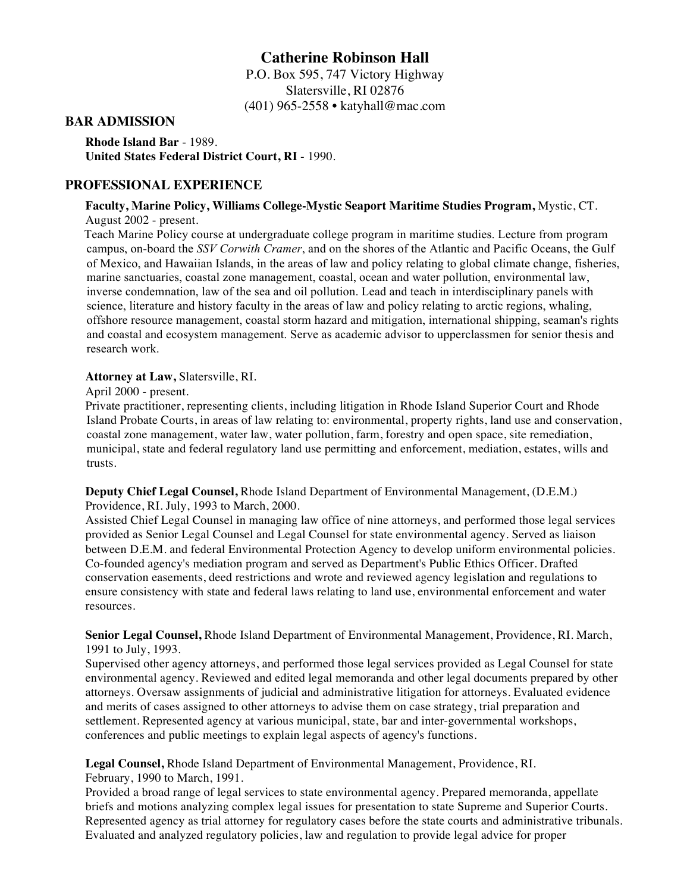# **Catherine Robinson Hall**

P.O. Box 595, 747 Victory Highway Slatersville, RI 02876 (401) 965-2558 • katyhall@mac.com

### **BAR ADMISSION**

**Rhode Island Bar** - 1989. **United States Federal District Court, RI** - 1990.

### **PROFESSIONAL EXPERIENCE**

#### **Faculty, Marine Policy, Williams College-Mystic Seaport Maritime Studies Program,** Mystic, CT. August 2002 - present.

Teach Marine Policy course at undergraduate college program in maritime studies. Lecture from program campus, on-board the *SSV Corwith Cramer*, and on the shores of the Atlantic and Pacific Oceans, the Gulf of Mexico, and Hawaiian Islands, in the areas of law and policy relating to global climate change, fisheries, marine sanctuaries, coastal zone management, coastal, ocean and water pollution, environmental law, inverse condemnation, law of the sea and oil pollution. Lead and teach in interdisciplinary panels with science, literature and history faculty in the areas of law and policy relating to arctic regions, whaling, offshore resource management, coastal storm hazard and mitigation, international shipping, seaman's rights and coastal and ecosystem management. Serve as academic advisor to upperclassmen for senior thesis and research work.

#### **Attorney at Law,** Slatersville, RI.

April 2000 - present.

Private practitioner, representing clients, including litigation in Rhode Island Superior Court and Rhode Island Probate Courts, in areas of law relating to: environmental, property rights, land use and conservation, coastal zone management, water law, water pollution, farm, forestry and open space, site remediation, municipal, state and federal regulatory land use permitting and enforcement, mediation, estates, wills and trusts.

**Deputy Chief Legal Counsel,** Rhode Island Department of Environmental Management, (D.E.M.) Providence, RI. July, 1993 to March, 2000.

Assisted Chief Legal Counsel in managing law office of nine attorneys, and performed those legal services provided as Senior Legal Counsel and Legal Counsel for state environmental agency. Served as liaison between D.E.M. and federal Environmental Protection Agency to develop uniform environmental policies. Co-founded agency's mediation program and served as Department's Public Ethics Officer. Drafted conservation easements, deed restrictions and wrote and reviewed agency legislation and regulations to ensure consistency with state and federal laws relating to land use, environmental enforcement and water resources.

**Senior Legal Counsel,** Rhode Island Department of Environmental Management, Providence, RI. March, 1991 to July, 1993.

Supervised other agency attorneys, and performed those legal services provided as Legal Counsel for state environmental agency. Reviewed and edited legal memoranda and other legal documents prepared by other attorneys. Oversaw assignments of judicial and administrative litigation for attorneys. Evaluated evidence and merits of cases assigned to other attorneys to advise them on case strategy, trial preparation and settlement. Represented agency at various municipal, state, bar and inter-governmental workshops, conferences and public meetings to explain legal aspects of agency's functions.

**Legal Counsel,** Rhode Island Department of Environmental Management, Providence, RI. February, 1990 to March, 1991.

Provided a broad range of legal services to state environmental agency. Prepared memoranda, appellate briefs and motions analyzing complex legal issues for presentation to state Supreme and Superior Courts. Represented agency as trial attorney for regulatory cases before the state courts and administrative tribunals. Evaluated and analyzed regulatory policies, law and regulation to provide legal advice for proper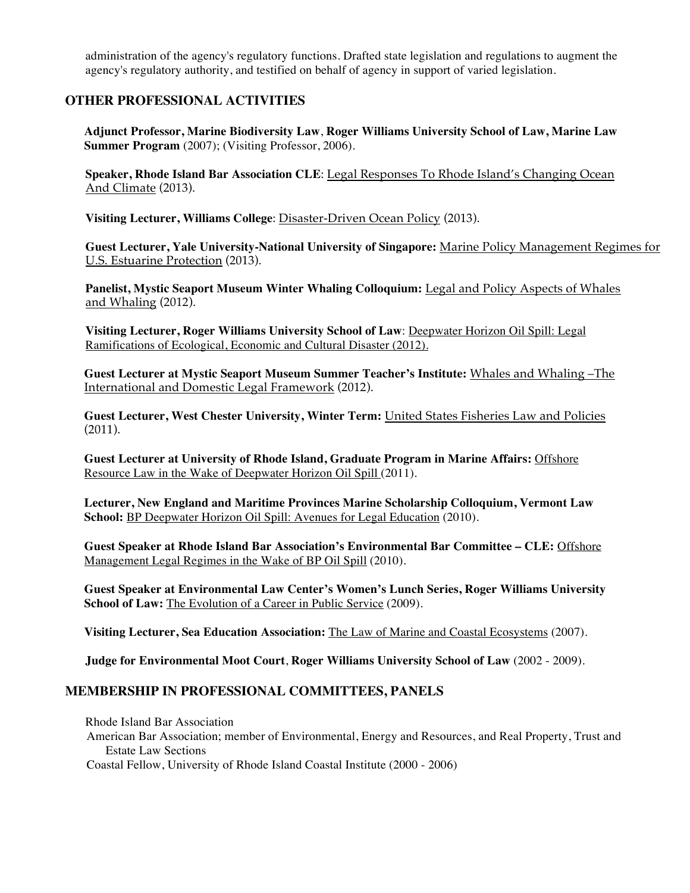administration of the agency's regulatory functions. Drafted state legislation and regulations to augment the agency's regulatory authority, and testified on behalf of agency in support of varied legislation.

# **OTHER PROFESSIONAL ACTIVITIES**

**Adjunct Professor, Marine Biodiversity Law**, **Roger Williams University School of Law, Marine Law Summer Program** (2007); (Visiting Professor, 2006).

**Speaker, Rhode Island Bar Association CLE**: Legal Responses To Rhode Island's Changing Ocean And Climate (2013).

**Visiting Lecturer, Williams College**: Disaster-Driven Ocean Policy (2013).

**Guest Lecturer, Yale University-National University of Singapore:** Marine Policy Management Regimes for U.S. Estuarine Protection (2013).

**Panelist, Mystic Seaport Museum Winter Whaling Colloquium:** Legal and Policy Aspects of Whales and Whaling (2012).

**Visiting Lecturer, Roger Williams University School of Law**: Deepwater Horizon Oil Spill: Legal Ramifications of Ecological, Economic and Cultural Disaster (2012).

**Guest Lecturer at Mystic Seaport Museum Summer Teacher's Institute:** Whales and Whaling –The International and Domestic Legal Framework (2012).

**Guest Lecturer, West Chester University, Winter Term:** United States Fisheries Law and Policies (2011).

**Guest Lecturer at University of Rhode Island, Graduate Program in Marine Affairs:** Offshore Resource Law in the Wake of Deepwater Horizon Oil Spill (2011).

**Lecturer, New England and Maritime Provinces Marine Scholarship Colloquium, Vermont Law School:** BP Deepwater Horizon Oil Spill: Avenues for Legal Education (2010).

**Guest Speaker at Rhode Island Bar Association's Environmental Bar Committee – CLE:** Offshore Management Legal Regimes in the Wake of BP Oil Spill (2010).

**Guest Speaker at Environmental Law Center's Women's Lunch Series, Roger Williams University School of Law:** The Evolution of a Career in Public Service (2009).

**Visiting Lecturer, Sea Education Association:** The Law of Marine and Coastal Ecosystems (2007).

**Judge for Environmental Moot Court**, **Roger Williams University School of Law** (2002 - 2009).

### **MEMBERSHIP IN PROFESSIONAL COMMITTEES, PANELS**

Rhode Island Bar Association

American Bar Association; member of Environmental, Energy and Resources, and Real Property, Trust and Estate Law Sections

Coastal Fellow, University of Rhode Island Coastal Institute (2000 - 2006)